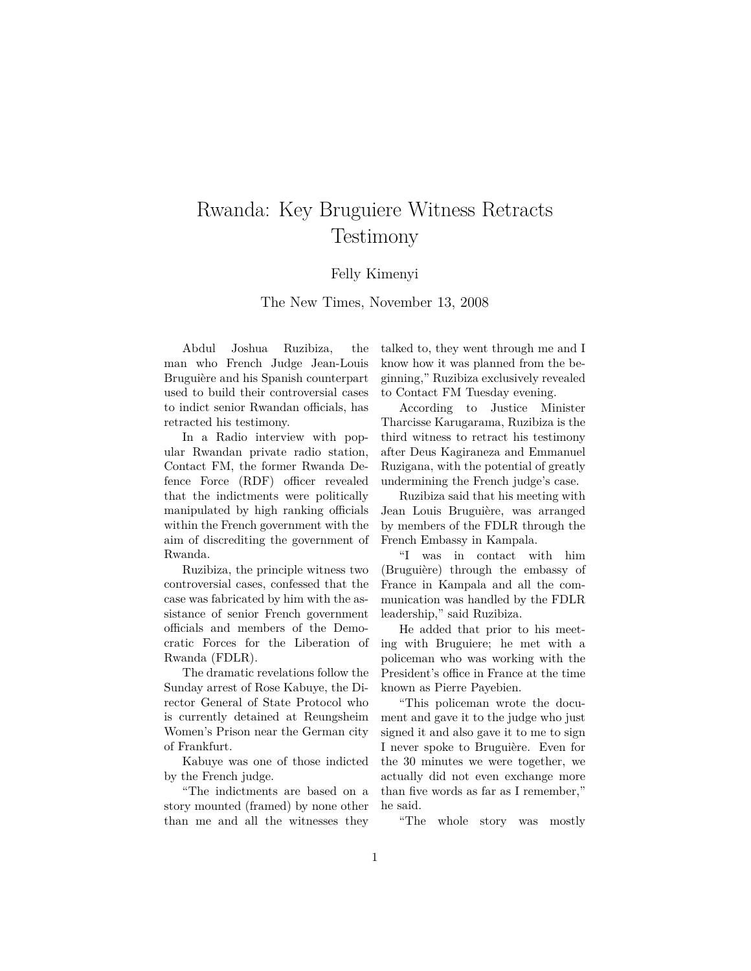## Rwanda: Key Bruguiere Witness Retracts Testimony

## Felly Kimenyi

The New Times, November 13, 2008

Abdul Joshua Ruzibiza, the man who French Judge Jean-Louis Bruguière and his Spanish counterpart used to build their controversial cases to indict senior Rwandan officials, has retracted his testimony.

In a Radio interview with popular Rwandan private radio station, Contact FM, the former Rwanda Defence Force (RDF) officer revealed that the indictments were politically manipulated by high ranking officials within the French government with the aim of discrediting the government of Rwanda.

Ruzibiza, the principle witness two controversial cases, confessed that the case was fabricated by him with the assistance of senior French government officials and members of the Democratic Forces for the Liberation of Rwanda (FDLR).

The dramatic revelations follow the Sunday arrest of Rose Kabuye, the Director General of State Protocol who is currently detained at Reungsheim Women's Prison near the German city of Frankfurt.

Kabuye was one of those indicted by the French judge.

"The indictments are based on a story mounted (framed) by none other than me and all the witnesses they talked to, they went through me and I know how it was planned from the beginning," Ruzibiza exclusively revealed to Contact FM Tuesday evening.

According to Justice Minister Tharcisse Karugarama, Ruzibiza is the third witness to retract his testimony after Deus Kagiraneza and Emmanuel Ruzigana, with the potential of greatly undermining the French judge's case.

Ruzibiza said that his meeting with Jean Louis Bruguière, was arranged by members of the FDLR through the French Embassy in Kampala.

"I was in contact with him (Bruguière) through the embassy of France in Kampala and all the communication was handled by the FDLR leadership," said Ruzibiza.

He added that prior to his meeting with Bruguiere; he met with a policeman who was working with the President's office in France at the time known as Pierre Payebien.

"This policeman wrote the document and gave it to the judge who just signed it and also gave it to me to sign I never spoke to Bruguière. Even for the 30 minutes we were together, we actually did not even exchange more than five words as far as I remember," he said.

"The whole story was mostly